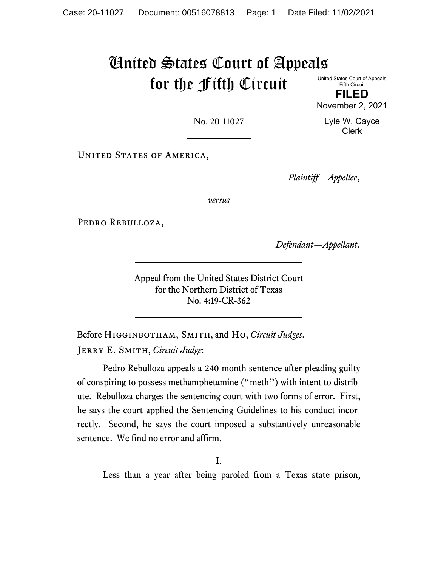# United States Court of Appeals for the Fifth Circuit United States Court of Appeals

Fifth Circuit **FILED**

November 2, 2021

No. 20-11027

Lyle W. Cayce Clerk

UNITED STATES OF AMERICA,

*Plaintiff—Appellee*,

*versus*

PEDRO REBULLOZA,

*Defendant—Appellant*.

Appeal from the United States District Court for the Northern District of Texas No. 4:19-CR-362

Before Higginbotham, Smith, and Ho, *Circuit Judges*. Jerry E. Smith, *Circuit Judge*:

Pedro Rebulloza appeals a 240-month sentence after pleading guilty of conspiring to possess methamphetamine ("meth") with intent to distribute. Rebulloza charges the sentencing court with two forms of error. First, he says the court applied the Sentencing Guidelines to his conduct incorrectly. Second, he says the court imposed a substantively unreasonable sentence. We find no error and affirm.

I.

Less than a year after being paroled from a Texas state prison,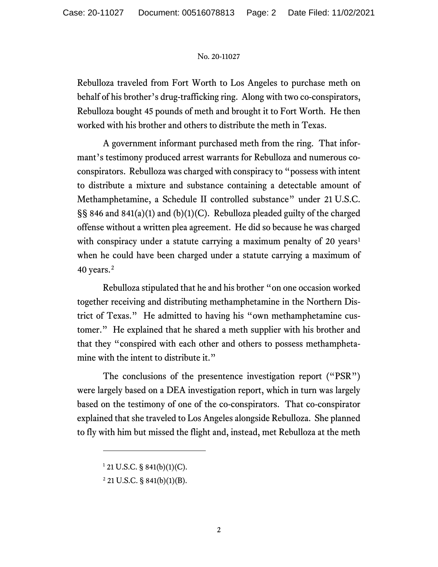Rebulloza traveled from Fort Worth to Los Angeles to purchase meth on behalf of his brother's drug-trafficking ring. Along with two co-conspirators, Rebulloza bought 45 pounds of meth and brought it to Fort Worth. He then worked with his brother and others to distribute the meth in Texas.

A government informant purchased meth from the ring. That informant's testimony produced arrest warrants for Rebulloza and numerous coconspirators. Rebulloza was charged with conspiracy to "possess with intent to distribute a mixture and substance containing a detectable amount of Methamphetamine, a Schedule II controlled substance" under 21 U.S.C. §§ 846 and 841(a)(1) and (b)(1)(C). Rebulloza pleaded guilty of the charged offense without a written plea agreement. He did so because he was charged with conspiracy under a statute carrying a maximum penalty of 20 years<sup>[1](#page-1-0)</sup> when he could have been charged under a statute carrying a maximum of 40 years.<sup>[2](#page-1-1)</sup>

Rebulloza stipulated that he and his brother "on one occasion worked together receiving and distributing methamphetamine in the Northern District of Texas." He admitted to having his "own methamphetamine customer." He explained that he shared a meth supplier with his brother and that they "conspired with each other and others to possess methamphetamine with the intent to distribute it."

The conclusions of the presentence investigation report ("PSR") were largely based on a DEA investigation report, which in turn was largely based on the testimony of one of the co-conspirators. That co-conspirator explained that she traveled to Los Angeles alongside Rebulloza. She planned to fly with him but missed the flight and, instead, met Rebulloza at the meth

<span id="page-1-0"></span> $1$  21 U.S.C. § 841(b)(1)(C).

<span id="page-1-1"></span> $2$  21 U.S.C. § 841(b)(1)(B).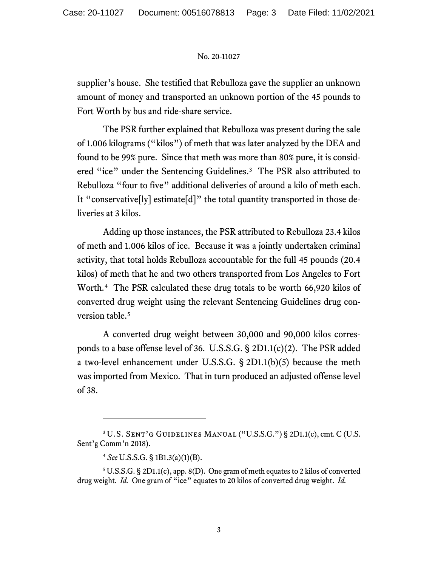supplier's house. She testified that Rebulloza gave the supplier an unknown amount of money and transported an unknown portion of the 45 pounds to Fort Worth by bus and ride-share service.

The PSR further explained that Rebulloza was present during the sale of 1.006 kilograms ("kilos") of meth that was later analyzed by the DEA and found to be 99% pure. Since that meth was more than 80% pure, it is consid-ered "ice" under the Sentencing Guidelines.<sup>[3](#page-2-0)</sup> The PSR also attributed to Rebulloza "four to five" additional deliveries of around a kilo of meth each. It "conservative[ly] estimate[d]" the total quantity transported in those deliveries at 3 kilos.

Adding up those instances, the PSR attributed to Rebulloza 23.4 kilos of meth and 1.006 kilos of ice. Because it was a jointly undertaken criminal activity, that total holds Rebulloza accountable for the full 45 pounds (20.4 kilos) of meth that he and two others transported from Los Angeles to Fort Worth. [4](#page-2-1) The PSR calculated these drug totals to be worth 66,920 kilos of converted drug weight using the relevant Sentencing Guidelines drug con-version table.<sup>[5](#page-2-2)</sup>

A converted drug weight between 30,000 and 90,000 kilos corresponds to a base offense level of 36. U.S.S.G. § 2D1.1(c)(2). The PSR added a two-level enhancement under U.S.S.G. § 2D1.1(b)(5) because the meth was imported from Mexico. That in turn produced an adjusted offense level of 38.

<span id="page-2-0"></span><sup>3</sup> U.S. Sent'g Guidelines Manual ("U.S.S.G.") § 2D1.1(c), cmt. C (U.S. Sent'g Comm'n 2018).

<sup>4</sup> *See* U.S.S.G. § 1B1.3(a)(1)(B).

<span id="page-2-2"></span><span id="page-2-1"></span><sup>5</sup> U.S.S.G. § 2D1.1(c), app. 8(D). One gram of meth equates to 2 kilos of converted drug weight. *Id.* One gram of "ice" equates to 20 kilos of converted drug weight. *Id.*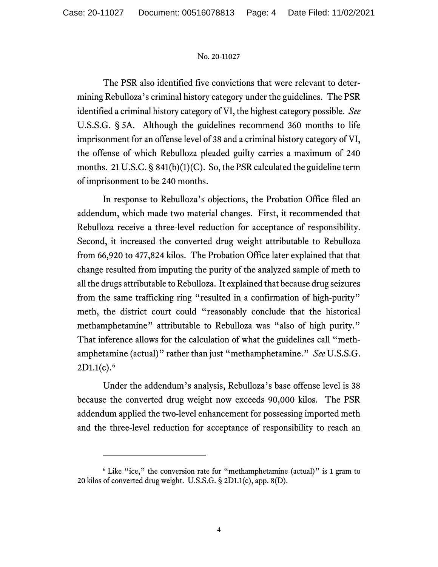The PSR also identified five convictions that were relevant to determining Rebulloza's criminal history category under the guidelines. The PSR identified a criminal history category of VI, the highest category possible. *See*  U.S.S.G. § 5A. Although the guidelines recommend 360 months to life imprisonment for an offense level of 38 and a criminal history category of VI, the offense of which Rebulloza pleaded guilty carries a maximum of 240 months. 21 U.S.C. § 841(b)(1)(C). So, the PSR calculated the guideline term of imprisonment to be 240 months.

In response to Rebulloza's objections, the Probation Office filed an addendum, which made two material changes. First, it recommended that Rebulloza receive a three-level reduction for acceptance of responsibility. Second, it increased the converted drug weight attributable to Rebulloza from 66,920 to 477,824 kilos. The Probation Office later explained that that change resulted from imputing the purity of the analyzed sample of meth to all the drugs attributable to Rebulloza. It explained that because drug seizures from the same trafficking ring "resulted in a confirmation of high-purity" meth, the district court could "reasonably conclude that the historical methamphetamine" attributable to Rebulloza was "also of high purity." That inference allows for the calculation of what the guidelines call "methamphetamine (actual)" rather than just "methamphetamine." *See* U.S.S.G.  $2D1.1(c).6$  $2D1.1(c).6$ 

Under the addendum's analysis, Rebulloza's base offense level is 38 because the converted drug weight now exceeds 90,000 kilos. The PSR addendum applied the two-level enhancement for possessing imported meth and the three-level reduction for acceptance of responsibility to reach an

<span id="page-3-0"></span><sup>&</sup>lt;sup>6</sup> Like "ice," the conversion rate for "methamphetamine (actual)" is 1 gram to 20 kilos of converted drug weight. U.S.S.G. § 2D1.1(c), app. 8(D).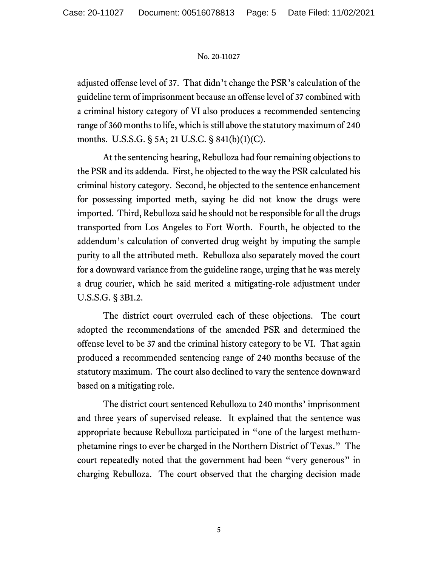adjusted offense level of 37. That didn't change the PSR's calculation of the guideline term of imprisonment because an offense level of 37 combined with a criminal history category of VI also produces a recommended sentencing range of 360 months to life, which is still above the statutory maximum of 240 months. U.S.S.G. § 5A; 21 U.S.C. § 841(b)(1)(C).

At the sentencing hearing, Rebulloza had four remaining objections to the PSR and its addenda. First, he objected to the way the PSR calculated his criminal history category. Second, he objected to the sentence enhancement for possessing imported meth, saying he did not know the drugs were imported. Third, Rebulloza said he should not be responsible for all the drugs transported from Los Angeles to Fort Worth. Fourth, he objected to the addendum's calculation of converted drug weight by imputing the sample purity to all the attributed meth. Rebulloza also separately moved the court for a downward variance from the guideline range, urging that he was merely a drug courier, which he said merited a mitigating-role adjustment under U.S.S.G. § 3B1.2.

The district court overruled each of these objections. The court adopted the recommendations of the amended PSR and determined the offense level to be 37 and the criminal history category to be VI. That again produced a recommended sentencing range of 240 months because of the statutory maximum. The court also declined to vary the sentence downward based on a mitigating role.

The district court sentenced Rebulloza to 240 months' imprisonment and three years of supervised release. It explained that the sentence was appropriate because Rebulloza participated in "one of the largest methamphetamine rings to ever be charged in the Northern District of Texas." The court repeatedly noted that the government had been "very generous" in charging Rebulloza. The court observed that the charging decision made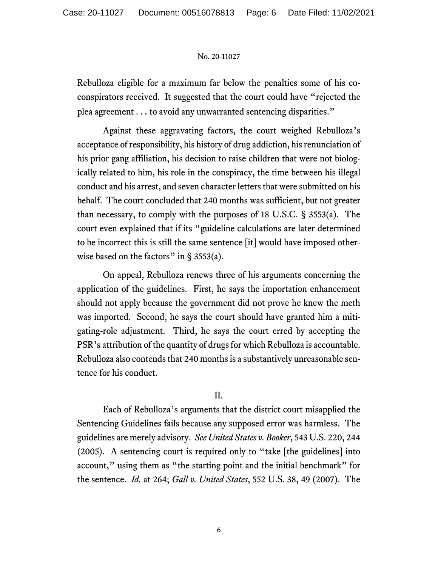Rebulloza eligible for a maximum far below the penalties some of his coconspirators received. It suggested that the court could have "rejected the plea agreement . . . to avoid any unwarranted sentencing disparities."

Against these aggravating factors, the court weighed Rebulloza's acceptance of responsibility, his history of drug addiction, his renunciation of his prior gang affiliation, his decision to raise children that were not biologically related to him, his role in the conspiracy, the time between his illegal conduct and his arrest, and seven character letters that were submitted on his behalf. The court concluded that 240 months was sufficient, but not greater than necessary, to comply with the purposes of 18 U.S.C. § 3553(a). The court even explained that if its "guideline calculations are later determined to be incorrect this is still the same sentence [it] would have imposed otherwise based on the factors" in  $\S$  3553(a).

On appeal, Rebulloza renews three of his arguments concerning the application of the guidelines. First, he says the importation enhancement should not apply because the government did not prove he knew the meth was imported. Second, he says the court should have granted him a mitigating-role adjustment. Third, he says the court erred by accepting the PSR's attribution of the quantity of drugs for which Rebulloza is accountable. Rebulloza also contends that 240 months is a substantively unreasonable sentence for his conduct.

# II.

Each of Rebulloza's arguments that the district court misapplied the Sentencing Guidelines fails because any supposed error was harmless. The guidelines are merely advisory. *See United States v. Booker*, 543 U.S. 220, 244 (2005). A sentencing court is required only to "take [the guidelines] into account," using them as "the starting point and the initial benchmark" for the sentence. *Id.* at 264; *Gall v. United States*, 552 U.S. 38, 49 (2007). The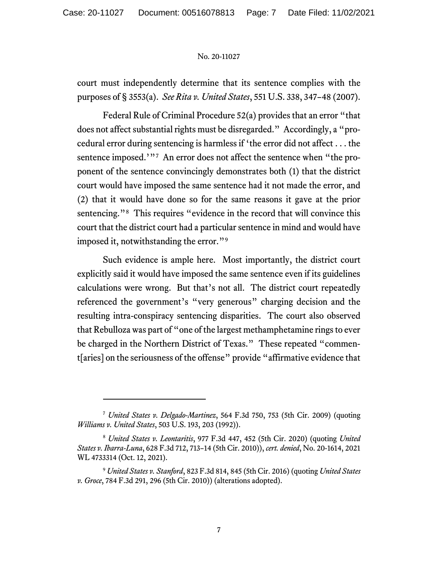court must independently determine that its sentence complies with the purposes of § 3553(a). *See Rita v. United States*, 551 U.S. 338, 347–48 (2007).

Federal Rule of Criminal Procedure 52(a) provides that an error "that does not affect substantial rights must be disregarded." Accordingly, a "procedural error during sentencing is harmless if 'the error did not affect . . . the sentence imposed.'"<sup>[7](#page-6-0)</sup> An error does not affect the sentence when "the proponent of the sentence convincingly demonstrates both (1) that the district court would have imposed the same sentence had it not made the error, and (2) that it would have done so for the same reasons it gave at the prior sentencing."<sup>[8](#page-6-1)</sup> This requires "evidence in the record that will convince this court that the district court had a particular sentence in mind and would have imposed it, notwithstanding the error."<sup>[9](#page-6-2)</sup>

Such evidence is ample here. Most importantly, the district court explicitly said it would have imposed the same sentence even if its guidelines calculations were wrong. But that's not all. The district court repeatedly referenced the government's "very generous" charging decision and the resulting intra-conspiracy sentencing disparities. The court also observed that Rebulloza was part of "one of the largest methamphetamine rings to ever be charged in the Northern District of Texas." These repeated "comment[aries] on the seriousness of the offense" provide "affirmative evidence that

<span id="page-6-0"></span><sup>7</sup> *United States v. Delgado-Martinez*, 564 F.3d 750, 753 (5th Cir. 2009) (quoting *Williams v. United States*, 503 U.S. 193, 203 (1992)).

<span id="page-6-1"></span><sup>8</sup> *United States v. Leontaritis*, 977 F.3d 447, 452 (5th Cir. 2020) (quoting *United States v. Ibarra-Luna*, 628 F.3d 712, 713–14 (5th Cir. 2010)), *cert. denied*, No. 20-1614, 2021 WL 4733314 (Oct. 12, 2021).

<span id="page-6-2"></span><sup>9</sup> *United States v. Stanford*, 823 F.3d 814, 845 (5th Cir. 2016) (quoting *United States v. Groce*, 784 F.3d 291, 296 (5th Cir. 2010)) (alterations adopted).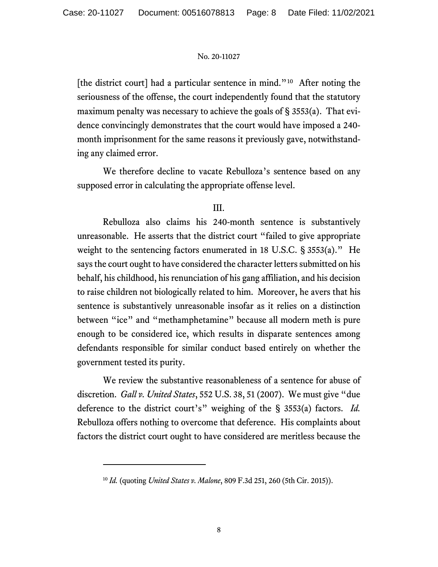[the district court] had a particular sentence in mind.<sup>"[10](#page-7-0)</sup> After noting the seriousness of the offense, the court independently found that the statutory maximum penalty was necessary to achieve the goals of  $\S$  3553(a). That evidence convincingly demonstrates that the court would have imposed a 240 month imprisonment for the same reasons it previously gave, notwithstanding any claimed error.

We therefore decline to vacate Rebulloza's sentence based on any supposed error in calculating the appropriate offense level.

# III.

Rebulloza also claims his 240-month sentence is substantively unreasonable. He asserts that the district court "failed to give appropriate weight to the sentencing factors enumerated in 18 U.S.C. § 3553(a)." He says the court ought to have considered the character letters submitted on his behalf, his childhood, his renunciation of his gang affiliation, and his decision to raise children not biologically related to him. Moreover, he avers that his sentence is substantively unreasonable insofar as it relies on a distinction between "ice" and "methamphetamine" because all modern meth is pure enough to be considered ice, which results in disparate sentences among defendants responsible for similar conduct based entirely on whether the government tested its purity.

We review the substantive reasonableness of a sentence for abuse of discretion. *Gall v. United States*, 552 U.S. 38, 51 (2007). We must give "due deference to the district court's" weighing of the § 3553(a) factors. *Id.* Rebulloza offers nothing to overcome that deference. His complaints about factors the district court ought to have considered are meritless because the

<span id="page-7-0"></span><sup>10</sup> *Id.* (quoting *United States v. Malone*, 809 F.3d 251, 260 (5th Cir. 2015)).